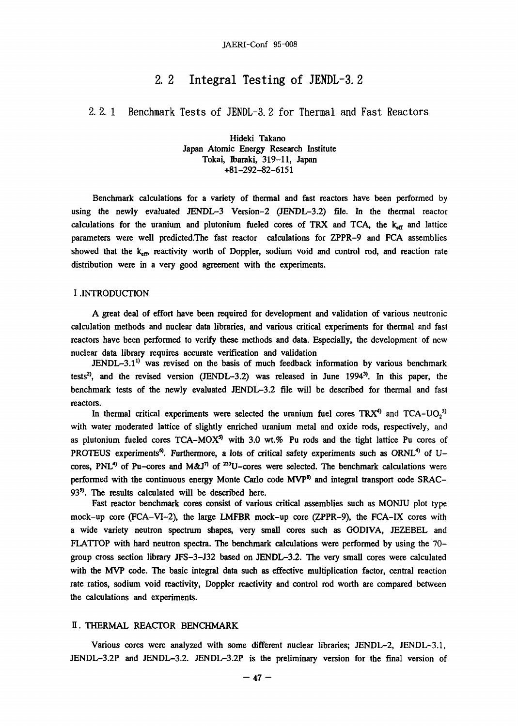# **2. 2 Integral Testing of JENDL-3. 2**

2. 2. 1 Benchmark Tests of JENDL-3. 2 for Thermal and Fast Reactors

Hideki Takano Japan Atomic Energy Research Institute Tokai, Ibaraki, 319-11, Japan +81-292-82-6151

Benchmark calculations for a variety of thermal and fast reactors have been performed by using the newly evaluated JENDL-3 Version-2 (JENDL-3.2) file. In the thermal reactor calculations for the uranium and plutonium fueled cores of TRX and TCA, the  $k_{\text{cr}}$  and lattice parameters were well predicted.The fast reactor calculations for ZPPR-9 and FCA assemblies showed that the  $k_{em}$  reactivity worth of Doppler, sodium void and control rod, and reaction rate distribution were in a very good agreement with the experiments.

## I .INTRODUCTION

A great deal of effort have been required for development and validation of various neutronic calculation methods and nuclear data libraries, and various critical experiments for thermal and fast reactors have been performed to verify these methods and data. Especially, the development of new nuclear data library requires accurate verification and validation

 $JENDL-3.1<sup>11</sup>$  was revised on the basis of much feedback information by various benchmark tests<sup>2</sup>, and the revised version (JENDL-3.2) was released in June 1994<sup>-9</sup>. In this paper, the benchmark tests of the newly evaluated JENDL-3.2 file will be described for thermal and fast reactors.

In thermal critical experiments were selected the uranium fuel cores  $\frac{1}{1}K$ <sup>4</sup> and  $\frac{1}{1}C$  $\frac{1}{4}$ and  $1$ CA-UO<sub>2</sub> with water moderated lattice of slightly enriched uranium metal and oxide rods, respectively, and as plutonium fueled cores  $ICA-MOX^3$  with 3.0 wt.% Pu rods and the tight lattice Pu cores of PROTEUS experiments<sup>4</sup>. Furthermore, a lots of critical safety experiments such as ORNL<sup>4</sup> of Ucores, PNL<sup>1</sup> of Pu-cores and M&J<sup>1</sup> of  $\sim$ U-cores were selected. The benchmark calculations were performed with the continuous energy monte Carlo code MVP<sup>9</sup> and integral transport code SRAC-93<sup>9</sup>. The results calculated will be described here.

Fast reactor benchmark cores consist of various critical assemblies such as MONJU plot type mock-up core (FCA-VI-2), the large LMFBR mock-up core (ZPPR-9), the FCA-IX cores with a wide variety neutron spectrum shapes, very small cores such as GODIVA, JEZEBEL and FLATTOP with hard neutron spectra. The benchmark calculations were performed by using the 70– group cross section library JFS-3-J32 based on JENDL-3.2. The very small cores were calculated with the MVP code. The basic integral data such as effective multiplication factor, central reaction with the MVP code. The basic integral data such as effective multiplication factor, central reaction rate ratios, sodium void reactivity, Doppler reactivity and control rod worth are compared between the calculations and experiments.

## H. THERMAL REACTOR BENCHMARK

Various cores were analyzed with some different nuclear libraries; JENDL-2, JENDL-3.1, JENDL-3.2P and JENDL-3.2. JENDL-3.2P is the preliminary version for the final version of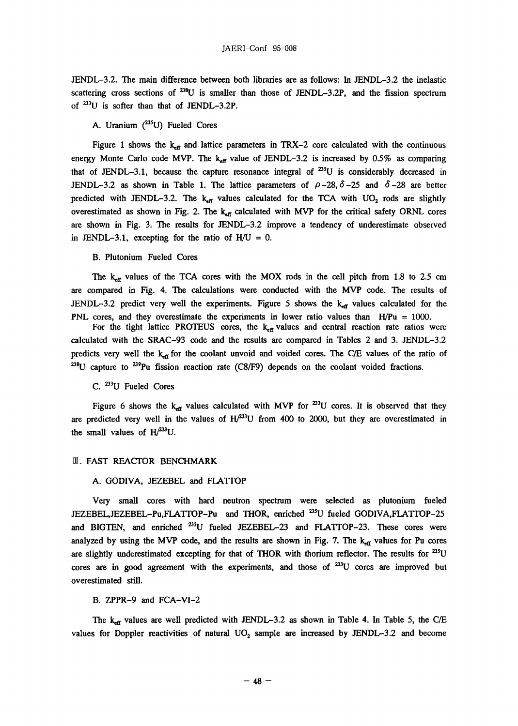JENDL-3.2. The main difference between both libraries are as follows: In JENDL-3.2 the inelastic scattering cross sections of  $^{238}U$  is smaller than those of JENDL-3.2P, and the fission spectrum of  $^{233}U$  is softer than that of JENDL-3.2P.

# A. Uranium  $(^{235}U)$  Fueled Cores

Figure 1 shows the  $k_{\text{eff}}$  and lattice parameters in TRX-2 core calculated with the continuous energy Monte Carlo code MVP. The  $k_{\text{eff}}$  value of JENDL-3.2 is increased by 0.5% as comparing that of JENDL-3.1, because the capture resonance integral of  $^{235}U$  is considerably decreased in JENDL-3.2 as shown in Table 1. The lattice parameters of  $\rho$ -28,  $\delta$ -25 and  $\delta$ -28 are better predicted with JENDL-3.2. The  $k_{eff}$  values calculated for the TCA with UO<sub>2</sub> rods are slightly overestimated as shown in Fig. 2. The  $k_{\text{eff}}$  calculated with MVP for the critical safety ORNL cores are shown in Fig. 3. The results for JENDL-3.2 improve a tendency of underestimate observed in JENDL-3.1, excepting for the ratio of  $H/U = 0$ .

#### B. Plutonium Fueled Cores

The  $k_{\text{eff}}$  values of the TCA cores with the MOX rods in the cell pitch from 1.8 to 2.5 cm are compared in Fig. 4. The calculations were conducted with the MVP code. The results of JENDL-3.2 predict very well the experiments. Figure 5 shows the  $k_{\text{eff}}$  values calculated for the PNL cores, and they overestimate the experiments in lower ratio values than H/Pu = 1000.

For the tight lattice PROTEUS cores, the  $k_{\text{eff}}$  values and central reaction rate ratios were calculated with the SRAC-93 code and the results are compared in Tables 2 and 3. JENDL-3.2 predicts very well the  $k_{\text{eff}}$  for the coolant unvoid and voided cores. The C/E values of the ratio of  $^{238}$ U capture to  $^{239}$ Pu fission reaction rate (C8/F9) depends on the coolant voided fractions.

# C. <sup>233</sup>U Fueled Cores

Figure 6 shows the  $k_{eff}$  values calculated with MVP for  $23$ U cores. It is observed that they are predicted very well in the values of  $H/^{233}U$  from 400 to 2000, but they are overestimated in the small values of  $H^{/233}U$ .

### **II. FAST REACTOR BENCHMARK**

#### A. GODIVA, JEZEBEL and FLATTOP

Very small cores with hard neutron spectrum were selected as plutonium fueled JEZEBEL,JEZEBEL-Pu,FLATTOP-Pu and THOR, enriched <sup>235</sup>U fueled GODIVA,FLATTOP-25 and BIGTEN, and enriched  $^{233}U$  fueled JEZEBEL-23 and FLATTOP-23. These cores were analyzed by using the MVP code, and the results are shown in Fig. 7. The  $k_{\text{eff}}$  values for Pu cores are slightly underestimated excepting for that of THOR with thorium reflector. The results for <sup>235</sup>U cores are in good agreement with the experiments, and those of <sup>233</sup>U cores are improved but overestimated still.

#### B. ZPPR-9 and FCA-VI-2

The  $k_{\text{eff}}$  values are well predicted with JENDL-3.2 as shown in Table 4. In Table 5, the C/E values for Doppler reactivities of natural  $UO<sub>2</sub>$  sample are increased by JENDL-3.2 and become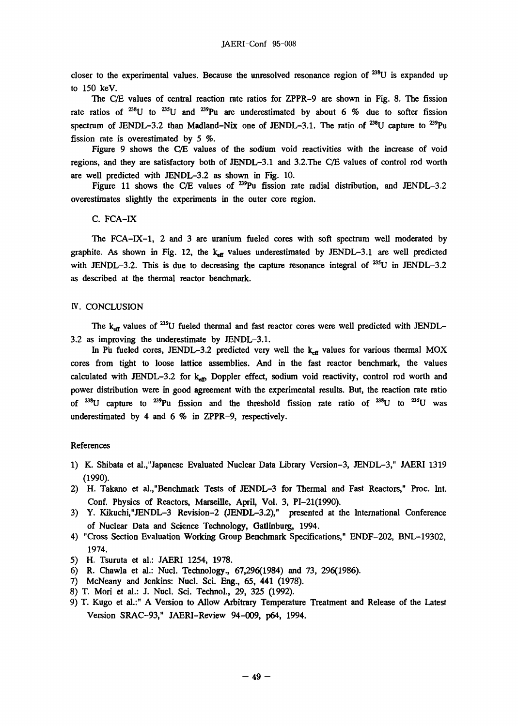closer to the experimental values. Because the unresolved resonance region of  $^{238}$ U is expanded up to 150 keV.

The C/E values of central reaction rate ratios for ZPPR-9 are shown in Fig. 8. The fission rate ratios of <sup>238</sup>U to <sup>235</sup>U and <sup>239</sup>Pu are underestimated by about 6 % due to softer fission spectrum of JENDL-3.2 than Madland-Nix one of JENDL-3.1. The ratio of <sup>238</sup>U capture to <sup>239</sup>Pu fission rate is overestimated by 5 %.

Figure 9 shows the C/E values of the sodium void reactivities with the increase of void regions, and they are satisfactory both of JENDL-3.1 and 3.2. The C/E values of control rod worth are well predicted with JENDL-3.2 as shown in Fig. 10. are well predicted with JENDL-3.2 as shown in Fig. 10.<br>Figure 11 shows the CC values of  $\frac{23m}{100}$ . Easier as

Figure 11 shows the C/E values of ^'Pu fission rate radial distribution, and JENDL-3.2 overestimates slightly the experiments in the outer core region.

C. FCA-IX

The FCA-IX-1, 2 and 3 are uranium fueled cores with soft spectrum well moderated by graphite. As shown in Fig. 12, the  $k_{\text{eff}}$  values underestimated by JENDL-3.1 are well predicted with JENDL-3.2. This is due to decreasing the capture resonance integral of  $^{235}$ U in JENDL-3.2 as described at the thermal reactor benchmark.

#### IV. CONCLUSION

The  $k_{\rm cr}$  values of <sup>235</sup>U fueled thermal and fast reactor cores were well predicted with JENDL-3.2 as improving the underestimate by JENDL-3.1.

In Pu fueled cores, JENDL-3.2 predicted very well the  $k_{\text{eff}}$  values for various thermal MOX cores from tight to loose lattice assemblies. And in the fast reactor benchmark, the values calculated with JENDL-3.2 for  $k_{\text{eff}}$  Doppler effect, sodium void reactivity, control rod worth and power distribution were in good agreement with the experimental results. But, the reaction rate ratio of <sup>258</sup>U capture to <sup>239</sup>Pu fission and the threshold fission rate ratio of <sup>258</sup>U to <sup>253</sup>U was underestimated by 4 and 6 % in ZPPR-9, respectively.

### References

- 1) K. Shibata et al.,"Japanese Evaluated Nuclear Data Library Version-3, JENDL-3," JAERI 1319 (1990).
- 2) H. Takano et al.,"Benchmark Tests of JENDL-3 for Thermal and Fast Reactors," Proc. Int. Conf. Physics of Reactors, Marseille, April, Vol. 3, PI-21(1990).
- 3) Y. Kikuchi,"JENDL-3 Revision-2 (JENDL-3.2)," presented at the International Conference of Nuclear Data and Science Technology, Gatlinburg, 1994.
- 4) "Cross Section Evaluation Working Group Benchmark Specifications," ENDF-202, BNL-19302, 1974.
- 5) H. Tsuruta et al.: JAERI 1254, 1978.
- 6) R. Chawla et al.: Nucl. Technology., 67,296(1984) and 73, 296(1986).
- 7) McNeany and Jenkins: Nucl. Sci. Eng., 65, 441 (1978).
- 8) T. Mori et al.: J. Nucl. Sci. Technol., 29, 325 (1992).
- 9) T. Kugo et al.:" A Version to Allow Arbitrary Temperature Treatment and Release of the Latest Version SRAC-93," JAERI-Review 94-009, p64, 1994.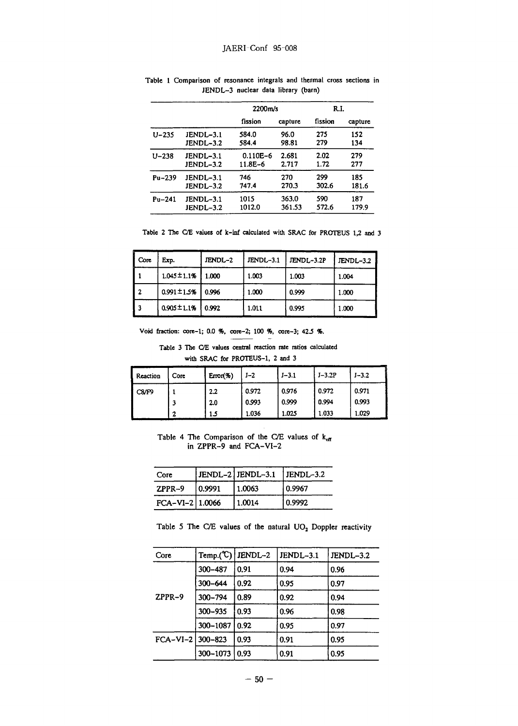|            |           | 2200m/s      |         | R.I.    |         |
|------------|-----------|--------------|---------|---------|---------|
|            |           | fission      | capture | fission | capture |
| U-235      | JENDL-3.1 | 584.0        | 96.0    | 275     | 152     |
|            | JENDL-3.2 | 584.4        | 98.81   | 279     | 134     |
| $U - 238$  | JENDL-3.1 | $0.110E - 6$ | 2.681   | 2.02    | 279     |
|            | JENDL-3.2 | $11.8E - 6$  | 2.717   | 1.72    | 277     |
| $Pu - 239$ | JENDL-3.1 | 746          | 270     | 299     | 185     |
|            | JENDL-3.2 | 747.4        | 270.3   | 302.6   | 181.6   |
| $Pu - 241$ | JENDL-3.1 | 1015         | 363.0   | 590     | 187     |
|            | JENDL-3.2 | 1012.0       | 361.53  | 572.6   | 179.9   |

**Table 1 Comparison of resonance integrals and thermal cross sections in JENDL-3 nuclear data library (barn)** 

**Table 2 The C/E values of k-inf calculated with SRAC for PROTEUS 1,2 and 3** 

| l Core | Exp.              | JENDL-2 | JENDL-3.1 | JENDL-3.2P | JENDL-3.2 |
|--------|-------------------|---------|-----------|------------|-----------|
| 11     | $1.045 \pm 1.1\%$ | 1.000   | 1.003     | 1.003      | 1.004     |
| l 2    | $0.991 \pm 1.5%$  | 0.996   | 1.000     | 0.999      | 1.000     |
| l 3    | $0.905 \pm 1.1\%$ | 0.992   | 1.011     | 0.995      | 1.000     |

**Void fraction: core-1; 0.0 %, core-2; 100 %, core-3; 42.5 %.** 

**Table 3 The C/E values central reaction rate ratios calculated with SRAC for PROTEUS-1, 2 and 3** 

| Reaction | Core | $Error$ (%) | $J-2$ | $J - 3.1$ | $J-3.2P$ | $J - 3.2$ |
|----------|------|-------------|-------|-----------|----------|-----------|
| C8/F9    |      | 2.2         | 0.972 | 0.976     | 0.972    | 0.971     |
|          |      | 2.0         | 0.993 | 0.999     | 0.994    | 0.993     |
|          | n    | 15          | 1.036 | 1.025     | 1.033    | 1.029     |

Table 4 The Comparison of the C/E values of  $k_{ef}$ in ZPPR-9 and FCA-VI-2

| Core              |        | $ JENDL-2 JENDL-3.1 $ | $ $ JENDL-3.2 |
|-------------------|--------|-----------------------|---------------|
| $ZPPR-9$          | 0.9991 | 1.0063                | 0.9967        |
| $FCA-VI-2$ 1.0066 |        | 1.0014                | 0.9992        |

Table 5 The C/E values of the natural  $UO<sub>2</sub>$  Doppler reactivity

| Core             | Temp. $(\mathbb{C})$ | IENDL-2 | JENDL-3.1 | JENDL-3.2 |
|------------------|----------------------|---------|-----------|-----------|
|                  | 300-487              | 0.91    | 0.94      | 0.96      |
|                  | $300 - 644$          | 0.92    | 0.95      | 0.97      |
| $ZPPR-9$         | $300 - 794$          | 0.89    | 0.92      | 0.94      |
|                  | 300-935              | 0.93    | 0.96      | 0.98      |
|                  | 300-1087             | 0.92    | 0.95      | 0.97      |
| FCA-VI-2 300-823 |                      | 0.93    | 0.91      | 0.95      |
|                  | 300-1073             | 0.93    | 0.91      | 0.95      |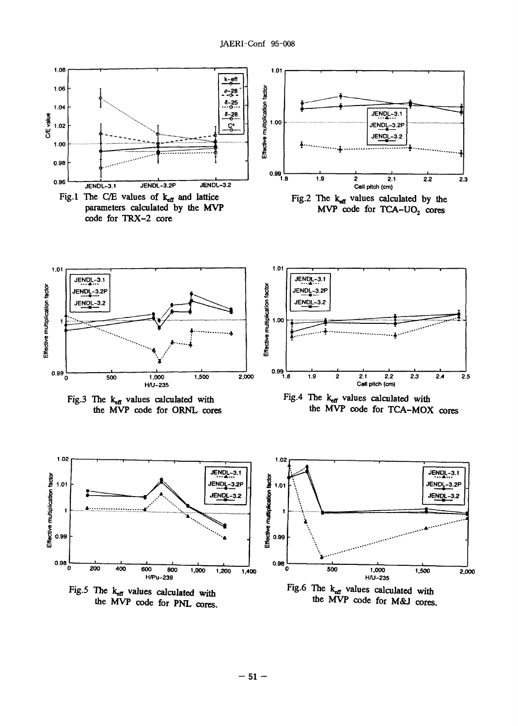